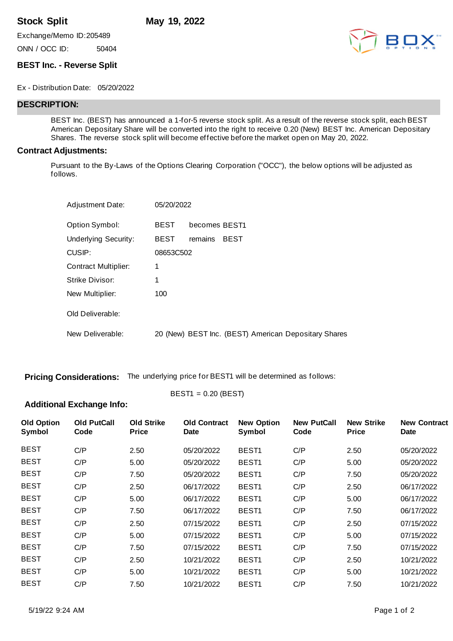Exchange/Memo ID:205489

ONN / OCC ID: 50404

## **BEST Inc. - Reverse Split**

Ex - Distribution Date: 05/20/2022

## **DESCRIPTION:**

BEST Inc. (BEST) has announced a 1-for-5 reverse stock split. As a result of the reverse stock split, each BEST American Depositary Share will be converted into the right to receive 0.20 (New) BEST Inc. American Depositary Shares. The reverse stock split will become effective before the market open on May 20, 2022.

## **Contract Adjustments:**

Pursuant to the By-Laws of the Options Clearing Corporation ("OCC"), the below options will be adjusted as follows.

| <b>Adjustment Date:</b>     | 05/20/2022  |                                                      |
|-----------------------------|-------------|------------------------------------------------------|
| Option Symbol:              | <b>BEST</b> | becomes BEST1                                        |
| <b>Underlying Security:</b> | <b>BEST</b> | remains<br><b>BEST</b>                               |
| CUSIP:                      | 08653C502   |                                                      |
| Contract Multiplier:        | 1           |                                                      |
| Strike Divisor:             | 1           |                                                      |
| New Multiplier:             | 100         |                                                      |
| Old Deliverable:            |             |                                                      |
| New Deliverable:            |             | 20 (New) BEST Inc. (BEST) American Depositary Shares |

BEST1 = 0.20 (BEST)

**Pricing Considerations:** The underlying price for BEST1 will be determined as follows:

**Additional Exchange Info:**

**Old Option Symbol Old PutCall Code Old Strike Price Old Contract Date New Option Symbol New PutCall Code New Strike Price New Contract Date** BEST C/P 2.50 05/20/2022 BEST1 C/P 2.50 05/20/2022 BEST C/P 5.00 05/20/2022 BEST1 C/P 5.00 05/20/2022 BEST C/P 7.50 05/20/2022 BEST1 C/P 7.50 05/20/2022 BEST C/P 2.50 06/17/2022 BEST1 C/P 2.50 06/17/2022 BEST C/P 5.00 06/17/2022 BEST1 C/P 5.00 06/17/2022 BEST C/P 7.50 06/17/2022 BEST1 C/P 7.50 06/17/2022 BEST C/P 2.50 07/15/2022 BEST1 C/P 2.50 07/15/2022 BEST C/P 5.00 07/15/2022 BEST1 C/P 5.00 07/15/2022 BEST C/P 7.50 07/15/2022 BEST1 C/P 7.50 07/15/2022 BEST C/P 2.50 10/21/2022 BEST1 C/P 2.50 10/21/2022 BEST C/P 5.00 10/21/2022 BEST1 C/P 5.00 10/21/2022 BEST C/P 7.50 10/21/2022 BEST1 C/P 7.50 10/21/2022